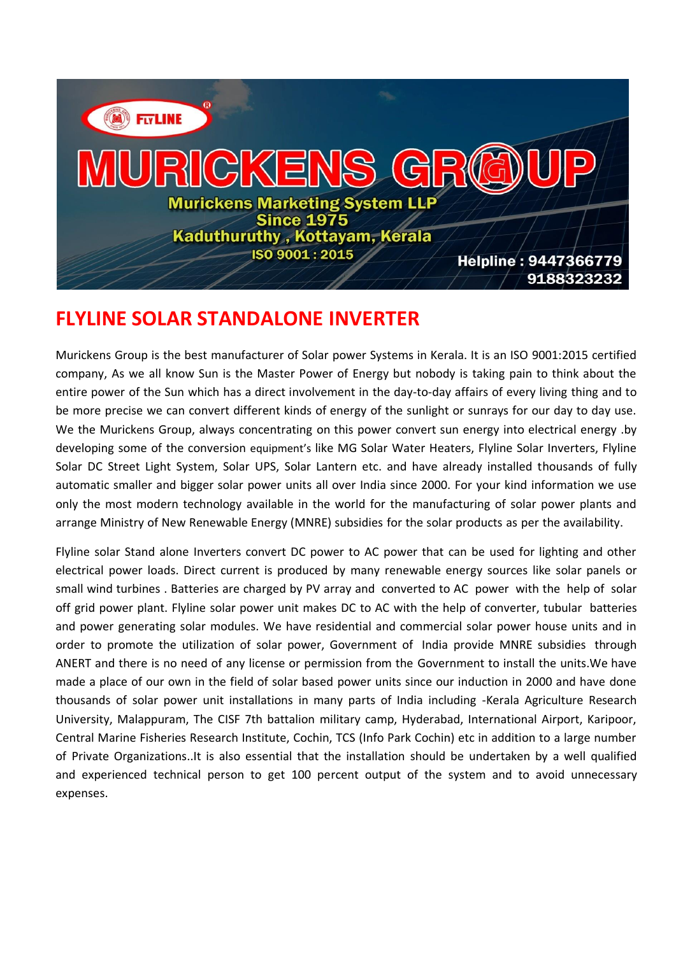

## **FLYLINE SOLAR STANDALONE INVERTER**

Murickens Group is the best manufacturer of Solar power Systems in Kerala. It is an ISO 9001:2015 certified company, As we all know Sun is the Master Power of Energy but nobody is taking pain to think about the entire power of the Sun which has a direct involvement in the day-to-day affairs of every living thing and to be more precise we can convert different kinds of energy of the sunlight or sunrays for our day to day use. We the Murickens Group, always concentrating on this power convert sun energy into electrical energy .by developing some of the conversion equipment's like MG Solar Water Heaters, Flyline Solar Inverters, Flyline Solar DC Street Light System, Solar UPS, Solar Lantern etc. and have already installed thousands of fully automatic smaller and bigger solar power units all over India since 2000. For your kind information we use only the most modern technology available in the world for the manufacturing of solar power plants and arrange Ministry of New Renewable Energy (MNRE) subsidies for the solar products as per the availability.

Flyline solar Stand alone Inverters convert DC power to AC power that can be used for lighting and other electrical power loads. Direct current is produced by many renewable energy sources like solar panels or small wind turbines . Batteries are charged by PV array and converted to AC power with the help of solar off grid power plant. Flyline solar power unit makes DC to AC with the help of converter, tubular batteries and power generating solar modules. We have residential and commercial solar power house units and in order to promote the utilization of solar power, Government of India provide MNRE subsidies through ANERT and there is no need of any license or permission from the Government to install the units.We have made a place of our own in the field of solar based power units since our induction in 2000 and have done thousands of solar power unit installations in many parts of India including -Kerala Agriculture Research University, Malappuram, The CISF 7th battalion military camp, Hyderabad, International Airport, Karipoor, Central Marine Fisheries Research Institute, Cochin, TCS (Info Park Cochin) etc in addition to a large number of Private Organizations..It is also essential that the installation should be undertaken by a well qualified and experienced technical person to get 100 percent output of the system and to avoid unnecessary expenses.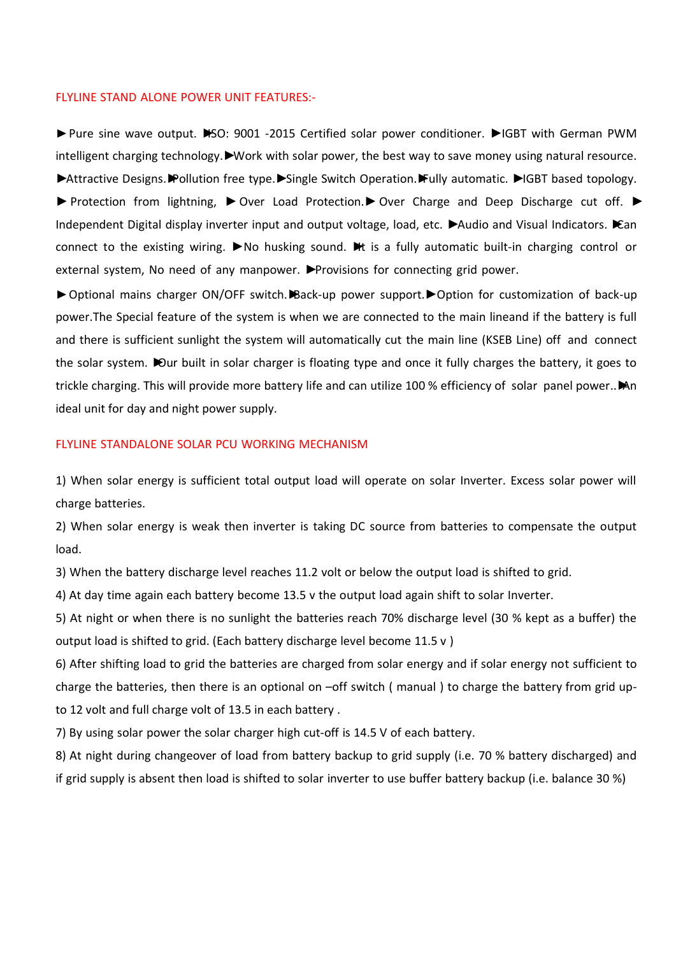## FLYLINE STAND ALONE POWER UNIT FEATURES:-

► Pure sine wave output. •SO: 9001 -2015 Certified solar power conditioner. •IGBT with German PWM intelligent charging technology.►Work with solar power, the best way to save money using natural resource. ►Attractive Designs.►Pollution free type.►Single Switch Operation.►Fully automatic. ►IGBT based topology. ► Protection from lightning, ► Over Load Protection. ▶ Over Charge and Deep Discharge cut off. ► Independent Digital display inverter input and output voltage, load, etc. ►Audio and Visual Indicators. ►Can connect to the existing wiring. ►No husking sound. ►It is a fully automatic built-in charging control or external system, No need of any manpower. ▶Provisions for connecting grid power.

►Optional mains charger ON/OFF switch.►Back-up power support.►Option for customization of back-up power.The Special feature of the system is when we are connected to the main lineand if the battery is full and there is sufficient sunlight the system will automatically cut the main line (KSEB Line) off and connect the solar system. in built in solar charger is floating type and once it fully charges the battery, it goes to trickle charging. This will provide more battery life and can utilize 100 % efficiency of solar panel power..
iMAn ideal unit for day and night power supply.

## FLYLINE STANDALONE SOLAR PCU WORKING MECHANISM

1) When solar energy is sufficient total output load will operate on solar Inverter. Excess solar power will charge batteries.

2) When solar energy is weak then inverter is taking DC source from batteries to compensate the output load.

3) When the battery discharge level reaches 11.2 volt or below the output load is shifted to grid.

4) At day time again each battery become 13.5 v the output load again shift to solar Inverter.

5) At night or when there is no sunlight the batteries reach 70% discharge level (30 % kept as a buffer) the output load is shifted to grid. (Each battery discharge level become 11.5 v )

6) After shifting load to grid the batteries are charged from solar energy and if solar energy not sufficient to charge the batteries, then there is an optional on –off switch ( manual ) to charge the battery from grid upto 12 volt and full charge volt of 13.5 in each battery .

7) By using solar power the solar charger high cut-off is 14.5 V of each battery.

8) At night during changeover of load from battery backup to grid supply (i.e. 70 % battery discharged) and if grid supply is absent then load is shifted to solar inverter to use buffer battery backup (i.e. balance 30 %)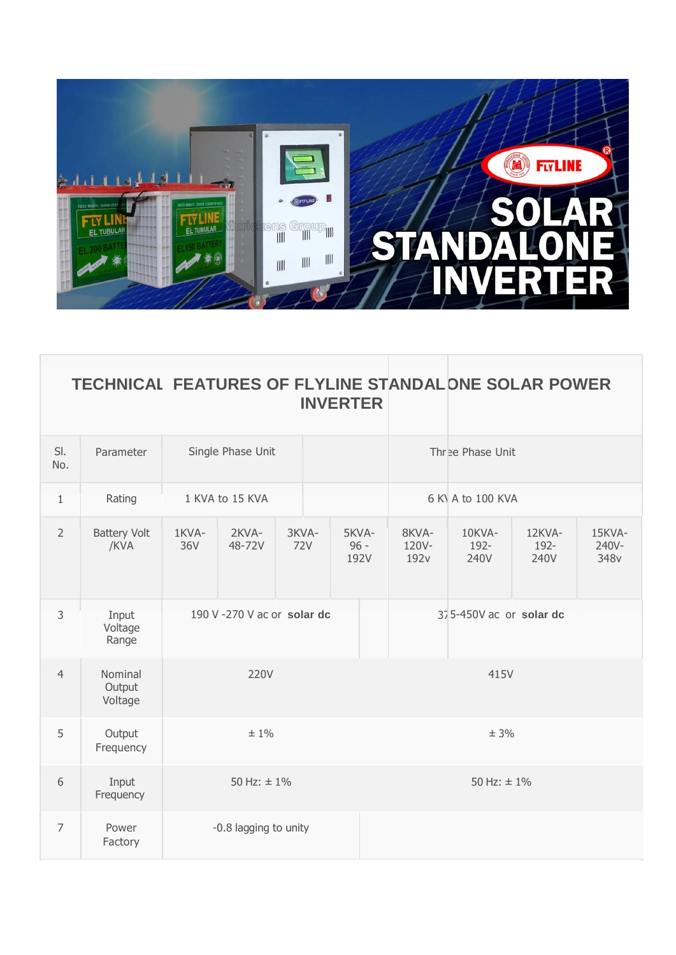

| TECHNICAL FEATURES OF FLYLINE STANDALONE SOLAR POWER |                 |  |  |
|------------------------------------------------------|-----------------|--|--|
|                                                      | <b>INVERTER</b> |  |  |

| SI.<br>No.     | Parameter                    | Single Phase Unit     |                            |                  | Three Phase Unit        |                                    |                         |                        |                                     |
|----------------|------------------------------|-----------------------|----------------------------|------------------|-------------------------|------------------------------------|-------------------------|------------------------|-------------------------------------|
| $\mathbf{1}$   | Rating                       | 1 KVA to 15 KVA       |                            | 6 K A to 100 KVA |                         |                                    |                         |                        |                                     |
| $\overline{2}$ | <b>Battery Volt</b><br>/KVA  | 1KVA-<br>36V          | 2KVA-<br>48-72V            | 3KVA-<br>72V     | 5KVA-<br>$96 -$<br>192V | 8KVA-<br>120V-<br>192 <sub>v</sub> | 10KVA-<br>192-<br>240V  | 12KVA-<br>192-<br>240V | 15KVA-<br>240V-<br>348 <sub>v</sub> |
| 3              | Input<br>Voltage<br>Range    |                       | 190 V-270 V ac or solar dc |                  |                         |                                    | 375-450V ac or solar dc |                        |                                     |
| $\overline{4}$ | Nominal<br>Output<br>Voltage | 220V                  |                            | 415V             |                         |                                    |                         |                        |                                     |
| 5              | Output<br>Frequency          | $±1\%$                |                            | ± 3%             |                         |                                    |                         |                        |                                     |
| 6              | Input<br>Frequency           | 50 Hz: $\pm$ 1%       |                            | 50 Hz: $\pm$ 1%  |                         |                                    |                         |                        |                                     |
| $\overline{7}$ | Power<br>Factory             | -0.8 lagging to unity |                            |                  |                         |                                    |                         |                        |                                     |